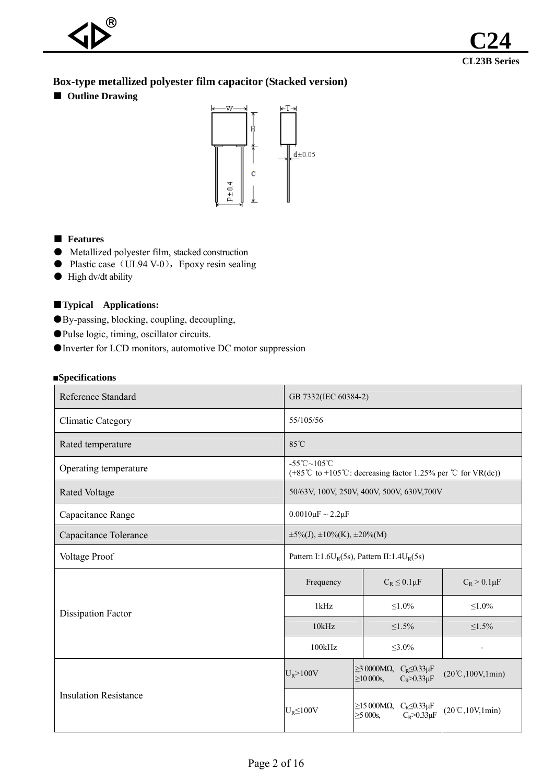# **Box-type metallized polyester film capacitor (Stacked version)**

■ **Outline Drawing** 



## ■ **Features**

- Metallized polyester film, stacked construction
- Plastic case (UL94 V-0), Epoxy resin sealing
- High dv/dt ability

## ■**Typical Applications:**

- ●By-passing, blocking, coupling, decoupling,
- ●Pulse logic, timing, oscillator circuits.
- ●Inverter for LCD monitors, automotive DC motor suppression

#### ■**Specifications**

| <b>Reference Standard</b>    | GB 7332(IEC 60384-2)                                                        |                                                                                                |                                                 |  |  |  |  |  |  |
|------------------------------|-----------------------------------------------------------------------------|------------------------------------------------------------------------------------------------|-------------------------------------------------|--|--|--|--|--|--|
| <b>Climatic Category</b>     | 55/105/56                                                                   |                                                                                                |                                                 |  |  |  |  |  |  |
| Rated temperature            | 85°C                                                                        |                                                                                                |                                                 |  |  |  |  |  |  |
| Operating temperature        | -55°C~105°C<br>(+85°C to +105°C: decreasing factor 1.25% per °C for VR(dc)) |                                                                                                |                                                 |  |  |  |  |  |  |
| <b>Rated Voltage</b>         |                                                                             | 50/63V, 100V, 250V, 400V, 500V, 630V, 700V                                                     |                                                 |  |  |  |  |  |  |
| Capacitance Range            | $0.0010 \mu F \sim 2.2 \mu F$                                               |                                                                                                |                                                 |  |  |  |  |  |  |
| Capacitance Tolerance        | $\pm 5\%$ (J), $\pm 10\%$ (K), $\pm 20\%$ (M)                               |                                                                                                |                                                 |  |  |  |  |  |  |
| Voltage Proof                | Pattern I:1.6U <sub>R</sub> (5s), Pattern II:1.4U <sub>R</sub> (5s)         |                                                                                                |                                                 |  |  |  |  |  |  |
|                              | Frequency                                                                   | $C_R \leq 0.1 \mu F$                                                                           | $C_R > 0.1 \mu F$                               |  |  |  |  |  |  |
| <b>Dissipation Factor</b>    | 1kHz                                                                        | $\leq 1.0\%$                                                                                   | $\leq 1.0\%$                                    |  |  |  |  |  |  |
|                              | 10kHz                                                                       | $\leq 1.5\%$                                                                                   | $1.5\%$                                         |  |  |  |  |  |  |
|                              | 100kHz                                                                      | $\leq 3.0\%$                                                                                   | $\overline{\phantom{a}}$                        |  |  |  |  |  |  |
|                              | $U_R$ >100V                                                                 | $\geq$ 3 0000M $\Omega$ , $C_R \leq 0.33 \mu F$<br>$C_R > 0.33 \mu F$<br>$\geq$ 10 000s,       | $(20^{\circ}C, 100V, 1min)$                     |  |  |  |  |  |  |
| <b>Insulation Resistance</b> | $U_R \leq 100V$                                                             | $\geq$ 15 000M $\Omega$ , C <sub>R</sub> $\leq$ 0.33µF<br>$C_R > 0.33 \mu F$<br>$\geq 5000s$ , | $(20^{\circ}\text{C}, 10\text{V}, 1\text{min})$ |  |  |  |  |  |  |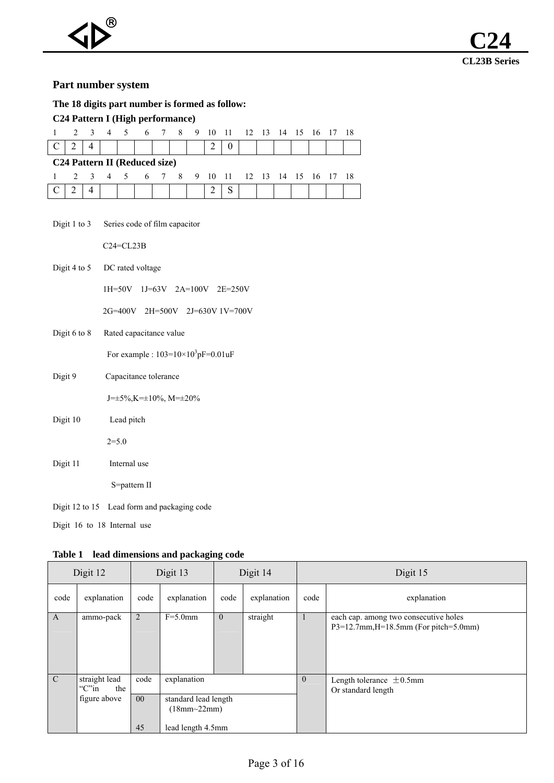## **Part number system**

| The 18 digits part number is formed as follow: |                |  |  |                                           |  |  |  |  |                                            |  |  |  |  |  |  |
|------------------------------------------------|----------------|--|--|-------------------------------------------|--|--|--|--|--------------------------------------------|--|--|--|--|--|--|
| C <sub>24</sub> Pattern I (High performance)   |                |  |  |                                           |  |  |  |  |                                            |  |  |  |  |  |  |
|                                                |                |  |  |                                           |  |  |  |  | 2 3 4 5 6 7 8 9 10 11 12 13 14 15 16 17 18 |  |  |  |  |  |  |
|                                                | 4              |  |  |                                           |  |  |  |  | $\theta$                                   |  |  |  |  |  |  |
|                                                |                |  |  | C <sub>24</sub> Pattern II (Reduced size) |  |  |  |  |                                            |  |  |  |  |  |  |
|                                                |                |  |  |                                           |  |  |  |  | 2 3 4 5 6 7 8 9 10 11 12 13 14 15 16 17 18 |  |  |  |  |  |  |
|                                                | $\overline{4}$ |  |  |                                           |  |  |  |  |                                            |  |  |  |  |  |  |

| Digit 1 to $3$ | Series code of film capacitor |  |
|----------------|-------------------------------|--|
|                |                               |  |

C24=CL23B

Digit 4 to 5 DC rated voltage

1H=50V 1J=63V 2A=100V 2E=250V

2G=400V 2H=500V 2J=630V 1V=700V

Digit 6 to 8 Rated capacitance value

For example :  $103=10\times10^{3}pF=0.01$ uF

Digit 9 Capacitance tolerance

J=±5%,K=±10%, M=±20%

- Digit 10 Lead pitch  $2=5.0$
- Digit 11 Internal use

S=pattern II

Digit 12 to 15 Lead form and packaging code

Digit 16 to 18 Internal use

|                | Table 1<br>lead dimensions and packaging code              |                               |                                                                             |          |             |              |                                                                                   |  |  |  |  |  |  |
|----------------|------------------------------------------------------------|-------------------------------|-----------------------------------------------------------------------------|----------|-------------|--------------|-----------------------------------------------------------------------------------|--|--|--|--|--|--|
|                | Digit 12                                                   |                               | Digit 13                                                                    |          | Digit 14    | Digit 15     |                                                                                   |  |  |  |  |  |  |
| code           | explanation                                                | code                          | explanation                                                                 | code     | explanation | code         | explanation                                                                       |  |  |  |  |  |  |
| A              | ammo-pack                                                  | 2                             | $F=5.0$ mm                                                                  | $\theta$ | straight    | 1            | each cap. among two consecutive holes<br>$P3=12.7$ mm, H=18.5mm (For pitch=5.0mm) |  |  |  |  |  |  |
| $\overline{C}$ | straight lead<br>" $C$ " $\infty$ "<br>the<br>figure above | code<br>00 <sup>°</sup><br>45 | explanation<br>standard lead length<br>$(18mm - 22mm)$<br>lead length 4.5mm |          |             | $\mathbf{0}$ | Length tolerance $\pm$ 0.5mm<br>Or standard length                                |  |  |  |  |  |  |
|                |                                                            |                               |                                                                             |          |             |              |                                                                                   |  |  |  |  |  |  |

**Table 1 lead dimensions and packaging code**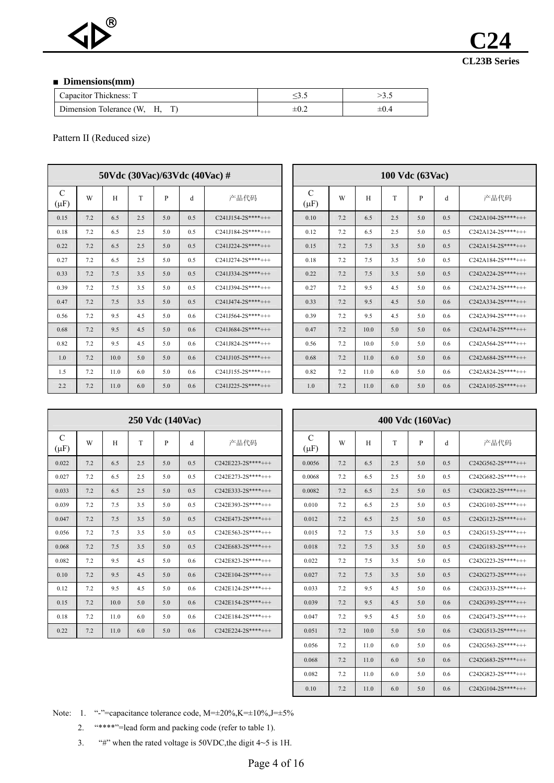

#### ■ **Dimensions(mm)**

| Capacitor Thickness: T     |           |
|----------------------------|-----------|
| Dimension Tolerance (W, H, | $\pm 0.4$ |

Pattern II (Reduced size)

|                       | 50Vdc $(30\text{Vac})/63\text{Vdc}$ $(40\text{Vac})$ # |      |     |              |     |                     |  |                            |     |      | <b>100 Vdc</b> (63Vac) |              |     |
|-----------------------|--------------------------------------------------------|------|-----|--------------|-----|---------------------|--|----------------------------|-----|------|------------------------|--------------|-----|
| $\mathcal{C}$<br>(µF) | W                                                      | H    | T   | $\mathbf{P}$ | d   | 产品代码                |  | $\mathcal{C}$<br>$(\mu F)$ | W   | H    | T                      | $\mathbf{P}$ | d   |
| 0.15                  | 7.2                                                    | 6.5  | 2.5 | 5.0          | 0.5 | $C241J154-2S***+++$ |  | 0.10                       | 7.2 | 6.5  | 2.5                    | 5.0          | 0.5 |
| 0.18                  | 7.2                                                    | 6.5  | 2.5 | 5.0          | 0.5 | $C241J184-2S***+++$ |  | 0.12                       | 7.2 | 6.5  | 2.5                    | 5.0          | 0.5 |
| 0.22                  | 7.2                                                    | 6.5  | 2.5 | 5.0          | 0.5 | $C241J224-2S***+++$ |  | 0.15                       | 7.2 | 7.5  | 3.5                    | 5.0          | 0.5 |
| 0.27                  | 7.2                                                    | 6.5  | 2.5 | 5.0          | 0.5 | $C241J274-2S***+++$ |  | 0.18                       | 7.2 | 7.5  | 3.5                    | 5.0          | 0.5 |
| 0.33                  | 7.2                                                    | 7.5  | 3.5 | 5.0          | 0.5 | $C241J334-2S***+++$ |  | 0.22                       | 7.2 | 7.5  | 3.5                    | 5.0          | 0.5 |
| 0.39                  | 7.2                                                    | 7.5  | 3.5 | 5.0          | 0.5 | $C2411394-2S***++$  |  | 0.27                       | 7.2 | 9.5  | 4.5                    | 5.0          | 0.6 |
| 0.47                  | 7.2                                                    | 7.5  | 3.5 | 5.0          | 0.5 | $C241J474-2S***+++$ |  | 0.33                       | 7.2 | 9.5  | 4.5                    | 5.0          | 0.6 |
| 0.56                  | 7.2                                                    | 9.5  | 4.5 | 5.0          | 0.6 | $C241J564-2S***+++$ |  | 0.39                       | 7.2 | 9.5  | 4.5                    | 5.0          | 0.6 |
| 0.68                  | 7.2                                                    | 9.5  | 4.5 | 5.0          | 0.6 | $C241J684-2S***+++$ |  | 0.47                       | 7.2 | 10.0 | 5.0                    | 5.0          | 0.6 |
| 0.82                  | 7.2                                                    | 9.5  | 4.5 | 5.0          | 0.6 | $C241J824-2S***+++$ |  | 0.56                       | 7.2 | 10.0 | 5.0                    | 5.0          | 0.6 |
| 1.0                   | 7.2                                                    | 10.0 | 5.0 | 5.0          | 0.6 | $C241J105-2S***+++$ |  | 0.68                       | 7.2 | 11.0 | 6.0                    | 5.0          | 0.6 |
| 1.5                   | 7.2                                                    | 11.0 | 6.0 | 5.0          | 0.6 | $C241J155-2S***+++$ |  | 0.82                       | 7.2 | 11.0 | 6.0                    | 5.0          | 0.6 |
| 2.2                   | 7.2                                                    | 11.0 | 6.0 | 5.0          | 0.6 | $C241J225-2S***+++$ |  | 1.0                        | 7.2 | 11.0 | 6.0                    | 5.0          | 0.6 |

|          | 50Vdc $(30\text{Vac})/63\text{Vdc}$ $(40\text{Vac})$ # |      |     |     |     |                     |  |                |     |      |     | 100 Vdc (63Vac) |     |                     |
|----------|--------------------------------------------------------|------|-----|-----|-----|---------------------|--|----------------|-----|------|-----|-----------------|-----|---------------------|
| C<br>μF) | W                                                      | H    | T   | P   | d   | 产品代码                |  | C<br>$(\mu F)$ | W   | H    | T   | P               | d   | 产品代码                |
| 0.15     | 7.2                                                    | 6.5  | 2.5 | 5.0 | 0.5 | $C241J154-2S***++$  |  | 0.10           | 7.2 | 6.5  | 2.5 | 5.0             | 0.5 | $C242A104-2S***++$  |
| 0.18     | 7.2                                                    | 6.5  | 2.5 | 5.0 | 0.5 | $C241J184-2S***+++$ |  | 0.12           | 7.2 | 6.5  | 2.5 | 5.0             | 0.5 | $C242A124-2S***+++$ |
| 0.22     | 7.2                                                    | 6.5  | 2.5 | 5.0 | 0.5 | $C241J224-2S***+++$ |  | 0.15           | 7.2 | 7.5  | 3.5 | 5.0             | 0.5 | $C242A154-2S***+++$ |
| 0.27     | 7.2                                                    | 6.5  | 2.5 | 5.0 | 0.5 | $C241J274-2S***++$  |  | 0.18           | 7.2 | 7.5  | 3.5 | 5.0             | 0.5 | C242A184-2S****+++  |
| 0.33     | 7.2                                                    | 7.5  | 3.5 | 5.0 | 0.5 | $C241J334-2S***+++$ |  | 0.22           | 7.2 | 7.5  | 3.5 | 5.0             | 0.5 | $C242A224-2S***+++$ |
| 0.39     | 7.2                                                    | 7.5  | 3.5 | 5.0 | 0.5 | $C241J394-2S***++$  |  | 0.27           | 7.2 | 9.5  | 4.5 | 5.0             | 0.6 | $C242A274-2S***+++$ |
| 0.47     | 7.2                                                    | 7.5  | 3.5 | 5.0 | 0.5 | $C241J474-2S***++$  |  | 0.33           | 7.2 | 9.5  | 4.5 | 5.0             | 0.6 | $C242A334-2S***++$  |
| 0.56     | 7.2                                                    | 9.5  | 4.5 | 5.0 | 0.6 | $C241J564-2S***+++$ |  | 0.39           | 7.2 | 9.5  | 4.5 | 5.0             | 0.6 | $C242A394-2S***+++$ |
| 0.68     | 7.2                                                    | 9.5  | 4.5 | 5.0 | 0.6 | $C241J684-2S***++$  |  | 0.47           | 7.2 | 10.0 | 5.0 | 5.0             | 0.6 | $C242A474-2S***+++$ |
| 0.82     | 7.2                                                    | 9.5  | 4.5 | 5.0 | 0.6 | C241J824-2S****+++  |  | 0.56           | 7.2 | 10.0 | 5.0 | 5.0             | 0.6 | $C242A564-2S***+++$ |
| 1.0      | 7.2                                                    | 10.0 | 5.0 | 5.0 | 0.6 | $C241J105-2S***+++$ |  | 0.68           | 7.2 | 11.0 | 6.0 | 5.0             | 0.6 | $C242A684-2S***++$  |
| 1.5      | 7.2                                                    | 11.0 | 6.0 | 5.0 | 0.6 | $C241J155-2S***+++$ |  | 0.82           | 7.2 | 11.0 | 6.0 | 5.0             | 0.6 | $C242A824-2S***+++$ |
| 2.2      | 7.2                                                    | 11.0 | 6.0 | 5.0 | 0.6 | $C241J225-2S***++$  |  | 1.0            | 7.2 | 11.0 | 6.0 | 5.0             | 0.6 | $C242A105-2S***++$  |

| 250 Vdc (140Vac)    |     |     |     |      |     |                            |  |  |  |  |  |  |
|---------------------|-----|-----|-----|------|-----|----------------------------|--|--|--|--|--|--|
| 产品代码                | d   | P   | T   | H    | W   | $\mathcal{C}$<br>$(\mu F)$ |  |  |  |  |  |  |
| $C242E223-2S***+++$ | 0.5 | 5.0 | 2.5 | 6.5  | 7.2 | 0.022                      |  |  |  |  |  |  |
| $C242E273-2S***+++$ | 0.5 | 5.0 | 2.5 | 6.5  | 7.2 | 0.027                      |  |  |  |  |  |  |
| $C242E333-2S***+++$ | 0.5 | 5.0 | 2.5 | 6.5  | 7.2 | 0.033                      |  |  |  |  |  |  |
| $C242E393-2S***+++$ | 0.5 | 5.0 | 3.5 | 7.5  | 7.2 | 0.039                      |  |  |  |  |  |  |
| $C242E473-2S***+++$ | 0.5 | 5.0 | 3.5 | 7.5  | 7.2 | 0.047                      |  |  |  |  |  |  |
| $C242E563-2S***+++$ | 0.5 | 5.0 | 3.5 | 7.5  | 7.2 | 0.056                      |  |  |  |  |  |  |
| $C242E683-2S***+++$ | 0.5 | 5.0 | 3.5 | 7.5  | 7.2 | 0.068                      |  |  |  |  |  |  |
| $C242E823-2S***+++$ | 0.6 | 5.0 | 4.5 | 9.5  | 7.2 | 0.082                      |  |  |  |  |  |  |
| $C242E104-2S***++$  | 0.6 | 5.0 | 4.5 | 9.5  | 7.2 | 0.10                       |  |  |  |  |  |  |
| $C242E124-2S***++$  | 0.6 | 5.0 | 4.5 | 9.5  | 7.2 | 0.12                       |  |  |  |  |  |  |
| $C242E154-2S***+++$ | 0.6 | 5.0 | 5.0 | 10.0 | 7.2 | 0.15                       |  |  |  |  |  |  |
| $C242E184-2S***+++$ | 0.6 | 5.0 | 6.0 | 11.0 | 7.2 | 0.18                       |  |  |  |  |  |  |
| C242E224-2S****+++  | 0.6 | 5.0 | 6.0 | 11.0 | 7.2 | 0.22                       |  |  |  |  |  |  |

|           |     |      | 250 Vdc (140Vac) |     |     |                     | 400 Vdc (160Vac)           |     |      |     |     |     |                     |  |
|-----------|-----|------|------------------|-----|-----|---------------------|----------------------------|-----|------|-----|-----|-----|---------------------|--|
| C<br>(µF) | W   | H    | T                | P   | d   | 产品代码                | $\mathcal{C}$<br>$(\mu F)$ | W   | H    | T   | P   | d   | 产品代码                |  |
| 0.022     | 7.2 | 6.5  | 2.5              | 5.0 | 0.5 | $C242E223-2S***+++$ | 0.0056                     | 7.2 | 6.5  | 2.5 | 5.0 | 0.5 | $C242G562-2S***+++$ |  |
| 0.027     | 7.2 | 6.5  | 2.5              | 5.0 | 0.5 | $C242E273-2S***+++$ | 0.0068                     | 7.2 | 6.5  | 2.5 | 5.0 | 0.5 | $C242G682-2S***+++$ |  |
| 0.033     | 7.2 | 6.5  | 2.5              | 5.0 | 0.5 | $C242E333-2S***+++$ | 0.0082                     | 7.2 | 6.5  | 2.5 | 5.0 | 0.5 | $C242G822-2S***+++$ |  |
| 0.039     | 7.2 | 7.5  | 3.5              | 5.0 | 0.5 | $C242E393-2S***+++$ | 0.010                      | 7.2 | 6.5  | 2.5 | 5.0 | 0.5 | $C242G103-2S***+++$ |  |
| 0.047     | 7.2 | 7.5  | 3.5              | 5.0 | 0.5 | $C242E473-2S***+++$ | 0.012                      | 7.2 | 6.5  | 2.5 | 5.0 | 0.5 | $C242G123-2S***+++$ |  |
| 0.056     | 7.2 | 7.5  | 3.5              | 5.0 | 0.5 | $C242E563-2S***+++$ | 0.015                      | 7.2 | 7.5  | 3.5 | 5.0 | 0.5 | $C242G153-2S***+++$ |  |
| 0.068     | 7.2 | 7.5  | 3.5              | 5.0 | 0.5 | $C242E683-2S***+++$ | 0.018                      | 7.2 | 7.5  | 3.5 | 5.0 | 0.5 | $C242G183-2S***+++$ |  |
| 0.082     | 7.2 | 9.5  | 4.5              | 5.0 | 0.6 | C242E823-2S****+++  | 0.022                      | 7.2 | 7.5  | 3.5 | 5.0 | 0.5 | $C242G223-2S***+++$ |  |
| 0.10      | 7.2 | 9.5  | 4.5              | 5.0 | 0.6 | $C242E104-2S***+++$ | 0.027                      | 7.2 | 7.5  | 3.5 | 5.0 | 0.5 | $C242G273-2S***+++$ |  |
| 0.12      | 7.2 | 9.5  | 4.5              | 5.0 | 0.6 | $C242E124-2S***+++$ | 0.033                      | 7.2 | 9.5  | 4.5 | 5.0 | 0.6 | $C242G333-2S***+++$ |  |
| 0.15      | 7.2 | 10.0 | 5.0              | 5.0 | 0.6 | $C242E154-2S***+++$ | 0.039                      | 7.2 | 9.5  | 4.5 | 5.0 | 0.6 | $C242G393-2S***+++$ |  |
| 0.18      | 7.2 | 11.0 | 6.0              | 5.0 | 0.6 | $C242E184-2S***+++$ | 0.047                      | 7.2 | 9.5  | 4.5 | 5.0 | 0.6 | C242G473-2S****+++  |  |
| 0.22      | 7.2 | 11.0 | 6.0              | 5.0 | 0.6 | $C242E224-2S***+++$ | 0.051                      | 7.2 | 10.0 | 5.0 | 5.0 | 0.6 | $C242G513-2S***+++$ |  |
|           |     |      |                  |     |     |                     | 0.056                      | 7.2 | 11.0 | 6.0 | 5.0 | 0.6 | $C242G563-2S***+++$ |  |
|           |     |      |                  |     |     |                     | 0.068                      | 7.2 | 11.0 | 6.0 | 5.0 | 0.6 | $C242G683-2S***+++$ |  |
|           |     |      |                  |     |     |                     | 0.082                      | 7.2 | 11.0 | 6.0 | 5.0 | 0.6 | $C242G823-2S***+++$ |  |
|           |     |      |                  |     |     |                     | 0.10                       | 7.2 | 11.0 | 6.0 | 5.0 | 0.6 | $C242G104-2S***+++$ |  |

Note: 1. "-"=capacitance tolerance code, M= $\pm 20\%, K=\pm 10\%, J=\pm 5\%$ 

- 2. "\*\*\*\*"=lead form and packing code (refer to table 1).
- 3. "#" when the rated voltage is 50VDC, the digit  $4~5$  is 1H.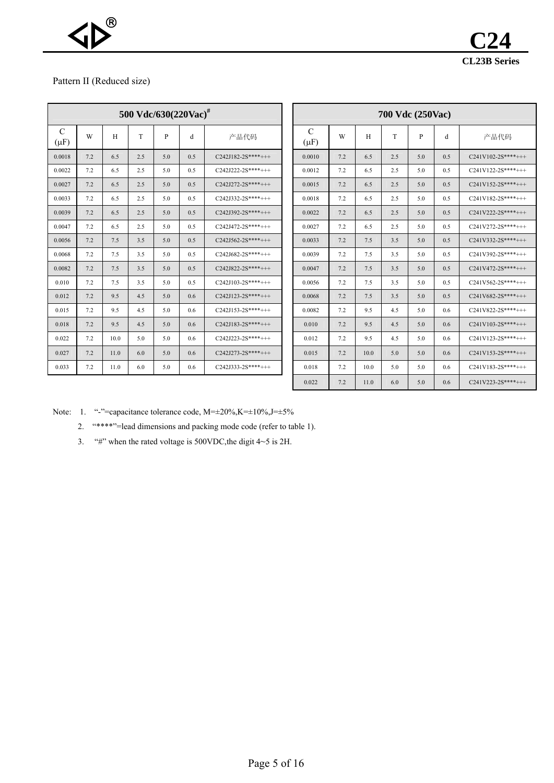

#### Pattern II (Reduced size)

| 500 Vdc/630(220Vac) <sup>#</sup> |     |      |     |              |     |                     |  |  |  |  |  |  |
|----------------------------------|-----|------|-----|--------------|-----|---------------------|--|--|--|--|--|--|
| $\mathcal{C}$<br>$(\mu F)$       | W   | H    | T   | $\mathbf{P}$ | d   | 产品代码                |  |  |  |  |  |  |
| 0.0018                           | 7.2 | 6.5  | 2.5 | 5.0          | 0.5 | $C242J182-2S***++$  |  |  |  |  |  |  |
| 0.0022                           | 7.2 | 6.5  | 2.5 | 5.0          | 0.5 | $C242J222-2S***+++$ |  |  |  |  |  |  |
| 0.0027                           | 7.2 | 6.5  | 2.5 | 5.0          | 0.5 | $C242J272-2S***+++$ |  |  |  |  |  |  |
| 0.0033                           | 7.2 | 6.5  | 2.5 | 5.0          | 0.5 | $C242I332-2S***++$  |  |  |  |  |  |  |
| 0.0039                           | 7.2 | 6.5  | 2.5 | 5.0          | 0.5 | $C242J392-2S***+++$ |  |  |  |  |  |  |
| 0.0047                           | 7.2 | 6.5  | 2.5 | 5.0          | 0.5 | $C242J472-2S***+++$ |  |  |  |  |  |  |
| 0.0056                           | 7.2 | 7.5  | 3.5 | 5.0          | 0.5 | $C242J562-2S***+++$ |  |  |  |  |  |  |
| 0.0068                           | 7.2 | 7.5  | 3.5 | 5.0          | 0.5 | $C242J682-2S***+++$ |  |  |  |  |  |  |
| 0.0082                           | 7.2 | 7.5  | 3.5 | 5.0          | 0.5 | $C242J822-2S***+++$ |  |  |  |  |  |  |
| 0.010                            | 7.2 | 7.5  | 3.5 | 5.0          | 0.5 | $C242J103-2S***+++$ |  |  |  |  |  |  |
| 0.012                            | 7.2 | 9.5  | 4.5 | 5.0          | 0.6 | $C242J123-2S***+++$ |  |  |  |  |  |  |
| 0.015                            | 7.2 | 9.5  | 4.5 | 5.0          | 0.6 | $C242J153-2S***+++$ |  |  |  |  |  |  |
| 0.018                            | 7.2 | 9.5  | 4.5 | 5.0          | 0.6 | $C242J183-2S***+++$ |  |  |  |  |  |  |
| 0.022                            | 7.2 | 10.0 | 5.0 | 5.0          | 0.6 | C242J223-2S****+++  |  |  |  |  |  |  |
| 0.027                            | 7.2 | 11.0 | 6.0 | 5.0          | 0.6 | $C242J273-2S***+++$ |  |  |  |  |  |  |
| 0.033                            | 7.2 | 11.0 | 6.0 | 5.0          | 0.6 | $C242I333-2S***++$  |  |  |  |  |  |  |

|                            | 500 Vdc/630 $(220\text{Vac})^{\text{\#}}$ |      |     |              |     |                     |                            |     |      |     | 700 Vdc (250Vac) |     |                     |
|----------------------------|-------------------------------------------|------|-----|--------------|-----|---------------------|----------------------------|-----|------|-----|------------------|-----|---------------------|
| $\mathcal{C}$<br>$(\mu F)$ | W                                         | H    | T   | $\mathbf{P}$ | d   | 产品代码                | $\mathcal{C}$<br>$(\mu F)$ | W   | H    | T   | P                | d   | 产品代码                |
| 0.0018                     | 7.2                                       | 6.5  | 2.5 | 5.0          | 0.5 | $C242J182-2S***+++$ | 0.0010                     | 7.2 | 6.5  | 2.5 | 5.0              | 0.5 | $C241V102-2S***+++$ |
| 0.0022                     | 7.2                                       | 6.5  | 2.5 | 5.0          | 0.5 | C242J222-2S****+++  | 0.0012                     | 7.2 | 6.5  | 2.5 | 5.0              | 0.5 | $C241V122-2S***+++$ |
| 0.0027                     | 7.2                                       | 6.5  | 2.5 | 5.0          | 0.5 | $C242J272-2S***+++$ | 0.0015                     | 7.2 | 6.5  | 2.5 | 5.0              | 0.5 | $C241V152-2S***+++$ |
| 0.0033                     | 7.2                                       | 6.5  | 2.5 | 5.0          | 0.5 | $C242J332-2S***+++$ | 0.0018                     | 7.2 | 6.5  | 2.5 | 5.0              | 0.5 | C241V182-2S****+++  |
| 0.0039                     | 7.2                                       | 6.5  | 2.5 | 5.0          | 0.5 | $C242J392-2S***+++$ | 0.0022                     | 7.2 | 6.5  | 2.5 | 5.0              | 0.5 | $C241V222-2S***+++$ |
| 0.0047                     | 7.2                                       | 6.5  | 2.5 | 5.0          | 0.5 | $C242J472-2S***+++$ | 0.0027                     | 7.2 | 6.5  | 2.5 | 5.0              | 0.5 | $C241V272-2S***+++$ |
| 0.0056                     | 7.2                                       | 7.5  | 3.5 | 5.0          | 0.5 | $C242J562-2S***+++$ | 0.0033                     | 7.2 | 7.5  | 3.5 | 5.0              | 0.5 | $C241V332-2S***+++$ |
| 0.0068                     | 7.2                                       | 7.5  | 3.5 | 5.0          | 0.5 | $C242J682-2S***+++$ | 0.0039                     | 7.2 | 7.5  | 3.5 | 5.0              | 0.5 | C241V392-2S****+++  |
| 0.0082                     | 7.2                                       | 7.5  | 3.5 | 5.0          | 0.5 | $C242J822-2S***+++$ | 0.0047                     | 7.2 | 7.5  | 3.5 | 5.0              | 0.5 | $C241V472-2S***+++$ |
| 0.010                      | 7.2                                       | 7.5  | 3.5 | 5.0          | 0.5 | $C242J103-2S***+++$ | 0.0056                     | 7.2 | 7.5  | 3.5 | 5.0              | 0.5 | C241V562-2S****+++  |
| 0.012                      | 7.2                                       | 9.5  | 4.5 | 5.0          | 0.6 | $C242J123-2S***+++$ | 0.0068                     | 7.2 | 7.5  | 3.5 | 5.0              | 0.5 | $C241V682-2S***+++$ |
| 0.015                      | 7.2                                       | 9.5  | 4.5 | 5.0          | 0.6 | $C242J153-2S***+++$ | 0.0082                     | 7.2 | 9.5  | 4.5 | 5.0              | 0.6 | C241V822-2S****+++  |
| 0.018                      | 7.2                                       | 9.5  | 4.5 | 5.0          | 0.6 | $C242J183-2S***+++$ | 0.010                      | 7.2 | 9.5  | 4.5 | 5.0              | 0.6 | C241V103-2S****+++  |
| 0.022                      | 7.2                                       | 10.0 | 5.0 | 5.0          | 0.6 | $C242J223-2S***+++$ | 0.012                      | 7.2 | 9.5  | 4.5 | 5.0              | 0.6 | $C241V123-2S***+++$ |
| 0.027                      | 7.2                                       | 11.0 | 6.0 | 5.0          | 0.6 | $C242J273-2S***+++$ | 0.015                      | 7.2 | 10.0 | 5.0 | 5.0              | 0.6 | $C241V153-2S***+++$ |
| 0.033                      | 7.2                                       | 11.0 | 6.0 | 5.0          | 0.6 | C242J333-2S****+++  | 0.018                      | 7.2 | 10.0 | 5.0 | 5.0              | 0.6 | $C241V183-2S***+++$ |
|                            |                                           |      |     |              |     |                     | 0.022                      | 7.2 | 11.0 | 6.0 | 5.0              | 0.6 | $C241V223-2S***+++$ |

Note: 1. "-"=capacitance tolerance code, M= $\pm 20\%, K=\pm 10\%, J=\pm 5\%$ 

2. "\*\*\*\*"=lead dimensions and packing mode code (refer to table 1).

3. "#" when the rated voltage is 500VDC,the digit 4~5 is 2H.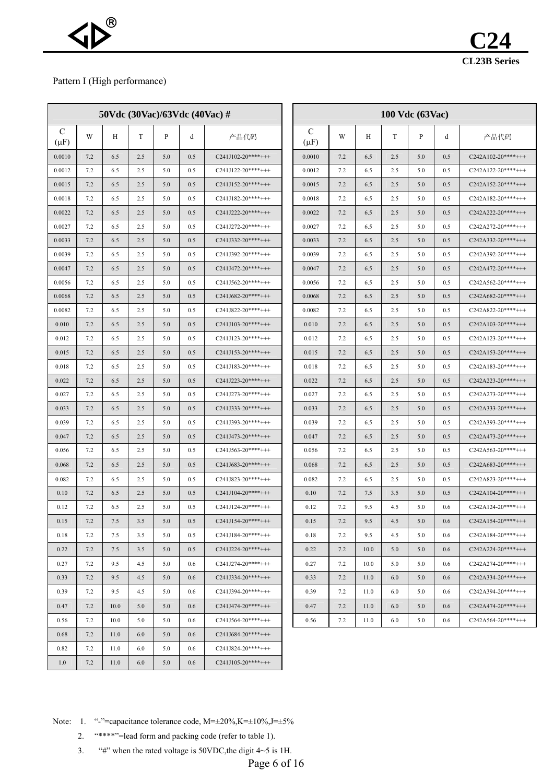### Pattern I (High performance)

|                            | 50Vdc $(30\text{Vac})/63\text{Vdc}$ $(40\text{Vac})$ # |      |     |     |         |                     |  | 100 Vdc (63Vac)            |     |      |     |     |     |                     |  |
|----------------------------|--------------------------------------------------------|------|-----|-----|---------|---------------------|--|----------------------------|-----|------|-----|-----|-----|---------------------|--|
| $\mathcal{C}$<br>$(\mu F)$ | W                                                      | Η    | T   | P   | d       | 产品代码                |  | $\mathcal{C}$<br>$(\mu F)$ | W   | Н    | T   | P   | d   | 产品代码                |  |
| 0.0010                     | 7.2                                                    | 6.5  | 2.5 | 5.0 | 0.5     | $C241J102-20***+++$ |  | 0.0010                     | 7.2 | 6.5  | 2.5 | 5.0 | 0.5 | $C242A102-20***++$  |  |
| 0.0012                     | 7.2                                                    | 6.5  | 2.5 | 5.0 | 0.5     | $C241J122-20***++$  |  | 0.0012                     | 7.2 | 6.5  | 2.5 | 5.0 | 0.5 | $C242A122-20***++$  |  |
| 0.0015                     | 7.2                                                    | 6.5  | 2.5 | 5.0 | 0.5     | $C241J152-20***+++$ |  | 0.0015                     | 7.2 | 6.5  | 2.5 | 5.0 | 0.5 | $C242A152-20***++$  |  |
| 0.0018                     | 7.2                                                    | 6.5  | 2.5 | 5.0 | 0.5     | $C241J182-20***++$  |  | 0.0018                     | 7.2 | 6.5  | 2.5 | 5.0 | 0.5 | $C242A182-20***++$  |  |
| 0.0022                     | 7.2                                                    | 6.5  | 2.5 | 5.0 | 0.5     | $C241J222-20***++$  |  | 0.0022                     | 7.2 | 6.5  | 2.5 | 5.0 | 0.5 | $C242A222-20***++$  |  |
| 0.0027                     | 7.2                                                    | 6.5  | 2.5 | 5.0 | 0.5     | $C241J272-20***++$  |  | 0.0027                     | 7.2 | 6.5  | 2.5 | 5.0 | 0.5 | $C242A272-20***++$  |  |
| 0.0033                     | 7.2                                                    | 6.5  | 2.5 | 5.0 | 0.5     | $C241J332-20***++$  |  | 0.0033                     | 7.2 | 6.5  | 2.5 | 5.0 | 0.5 | $C242A332-20***++$  |  |
| 0.0039                     | 7.2                                                    | 6.5  | 2.5 | 5.0 | 0.5     | $C241J392-20***++$  |  | 0.0039                     | 7.2 | 6.5  | 2.5 | 5.0 | 0.5 | $C242A392-20***++$  |  |
| 0.0047                     | 7.2                                                    | 6.5  | 2.5 | 5.0 | 0.5     | $C241J472-20***++$  |  | 0.0047                     | 7.2 | 6.5  | 2.5 | 5.0 | 0.5 | $C242A472-20***++$  |  |
| 0.0056                     | 7.2                                                    | 6.5  | 2.5 | 5.0 | 0.5     | $C241J562-20***++$  |  | 0.0056                     | 7.2 | 6.5  | 2.5 | 5.0 | 0.5 | $C242A562-20***++$  |  |
| 0.0068                     | 7.2                                                    | 6.5  | 2.5 | 5.0 | 0.5     | $C241J682-20***++$  |  | 0.0068                     | 7.2 | 6.5  | 2.5 | 5.0 | 0.5 | $C242A682-20***++$  |  |
| 0.0082                     | 7.2                                                    | 6.5  | 2.5 | 5.0 | 0.5     | $C241J822-20***++$  |  | 0.0082                     | 7.2 | 6.5  | 2.5 | 5.0 | 0.5 | $C242A822-20***++$  |  |
| 0.010                      | 7.2                                                    | 6.5  | 2.5 | 5.0 | 0.5     | $C241J103-20***+++$ |  | 0.010                      | 7.2 | 6.5  | 2.5 | 5.0 | 0.5 | $C242A103-20***+++$ |  |
| 0.012                      | 7.2                                                    | 6.5  | 2.5 | 5.0 | 0.5     | $C241J123-20***+++$ |  | 0.012                      | 7.2 | 6.5  | 2.5 | 5.0 | 0.5 | $C242A123-20***++$  |  |
| 0.015                      | 7.2                                                    | 6.5  | 2.5 | 5.0 | 0.5     | $C241J153-20***++$  |  | 0.015                      | 7.2 | 6.5  | 2.5 | 5.0 | 0.5 | $C242A153-20***++$  |  |
| 0.018                      | 7.2                                                    | 6.5  | 2.5 | 5.0 | 0.5     | $C241J183-20***++$  |  | 0.018                      | 7.2 | 6.5  | 2.5 | 5.0 | 0.5 | $C242A183-20***++$  |  |
| 0.022                      | 7.2                                                    | 6.5  | 2.5 | 5.0 | 0.5     | $C241J223-20***++$  |  | 0.022                      | 7.2 | 6.5  | 2.5 | 5.0 | 0.5 | $C242A223-20***++$  |  |
| 0.027                      | 7.2                                                    | 6.5  | 2.5 | 5.0 | 0.5     | $C241J273-20***++$  |  | 0.027                      | 7.2 | 6.5  | 2.5 | 5.0 | 0.5 | $C242A273-20***++$  |  |
| 0.033                      | 7.2                                                    | 6.5  | 2.5 | 5.0 | 0.5     | $C241J333-20***++$  |  | 0.033                      | 7.2 | 6.5  | 2.5 | 5.0 | 0.5 | $C242A333-20***++$  |  |
| 0.039                      | 7.2                                                    | 6.5  | 2.5 | 5.0 | 0.5     | $C241J393-20***++$  |  | 0.039                      | 7.2 | 6.5  | 2.5 | 5.0 | 0.5 | $C242A393-20***++$  |  |
| 0.047                      | 7.2                                                    | 6.5  | 2.5 | 5.0 | 0.5     | $C241J473-20***++$  |  | 0.047                      | 7.2 | 6.5  | 2.5 | 5.0 | 0.5 | $C242A473-20***++$  |  |
| 0.056                      | 7.2                                                    | 6.5  | 2.5 | 5.0 | 0.5     | $C241J563-20***++$  |  | 0.056                      | 7.2 | 6.5  | 2.5 | 5.0 | 0.5 | $C242A563-20***++$  |  |
| 0.068                      | 7.2                                                    | 6.5  | 2.5 | 5.0 | 0.5     | $C241J683-20***++$  |  | 0.068                      | 7.2 | 6.5  | 2.5 | 5.0 | 0.5 | $C242A683-20***++$  |  |
| 0.082                      | 7.2                                                    | 6.5  | 2.5 | 5.0 | 0.5     | $C241J823-20***++$  |  | 0.082                      | 7.2 | 6.5  | 2.5 | 5.0 | 0.5 | $C242A823-20***++$  |  |
| 0.10                       | 7.2                                                    | 6.5  | 2.5 | 5.0 | 0.5     | $C241J104-20***++$  |  | 0.10                       | 7.2 | 7.5  | 3.5 | 5.0 | 0.5 | $C242A104-20***++$  |  |
| 0.12                       | 7.2                                                    | 6.5  | 2.5 | 5.0 | 0.5     | $C241J124-20***++$  |  | 0.12                       | 7.2 | 9.5  | 4.5 | 5.0 | 0.6 | $C242A124-20***++$  |  |
| 0.15                       | 7.2                                                    | 7.5  | 3.5 | 5.0 | 0.5     | $C241J154-20***++$  |  | 0.15                       | 7.2 | 9.5  | 4.5 | 5.0 | 0.6 | $C242A154-20***++$  |  |
| 0.18                       | 7.2                                                    | 7.5  | 3.5 | 5.0 | 0.5     | $C241J184-20***++$  |  | 0.18                       | 7.2 | 9.5  | 4.5 | 5.0 | 0.6 | $C242A184-20***++$  |  |
| 0.22                       | 7.2                                                    | 7.5  | 3.5 | 5.0 | 0.5     | $C241J224-20***++$  |  | 0.22                       | 7.2 | 10.0 | 5.0 | 5.0 | 0.6 | $C242A224-20***++$  |  |
| 0.27                       | 7.2                                                    | 9.5  | 4.5 | 5.0 | 0.6     | $C241J274-20***++$  |  | 0.27                       | 7.2 | 10.0 | 5.0 | 5.0 | 0.6 | $C242A274-20***++$  |  |
| 0.33                       | 7.2                                                    | 9.5  | 4.5 | 5.0 | 0.6     | $C241J334-20***++$  |  | 0.33                       | 7.2 | 11.0 | 6.0 | 5.0 | 0.6 | $C242A334-20***++$  |  |
| 0.39                       | 7.2                                                    | 9.5  | 4.5 | 5.0 | $0.6\,$ | $C241J394-20***++$  |  | 0.39                       | 7.2 | 11.0 | 6.0 | 5.0 | 0.6 | $C242A394-20***++$  |  |
| 0.47                       | 7.2                                                    | 10.0 | 5.0 | 5.0 | 0.6     | $C241J474-20***++$  |  | 0.47                       | 7.2 | 11.0 | 6.0 | 5.0 | 0.6 | $C242A474-20***++$  |  |
| 0.56                       | 7.2                                                    | 10.0 | 5.0 | 5.0 | 0.6     | $C241J564-20***++$  |  | 0.56                       | 7.2 | 11.0 | 6.0 | 5.0 | 0.6 | $C242A564-20***++$  |  |
| 0.68                       | 7.2                                                    | 11.0 | 6.0 | 5.0 | 0.6     | $C241J684-20***++$  |  |                            |     |      |     |     |     |                     |  |
| 0.82                       | 7.2                                                    | 11.0 | 6.0 | 5.0 | 0.6     | $C241J824-20***++$  |  |                            |     |      |     |     |     |                     |  |
| 1.0                        | 7.2                                                    | 11.0 | 6.0 | 5.0 | 0.6     | $C241J105-20***++$  |  |                            |     |      |     |     |     |                     |  |

Note: 1. "-"=capacitance tolerance code, M= $\pm 20\%, K=\pm 10\%, J=\pm 5\%$ 

2. "\*\*\*\*"=lead form and packing code (refer to table 1).

3. "#" when the rated voltage is  $50VDC$ , the digit  $4~5$  is 1H.

Page 6 of 16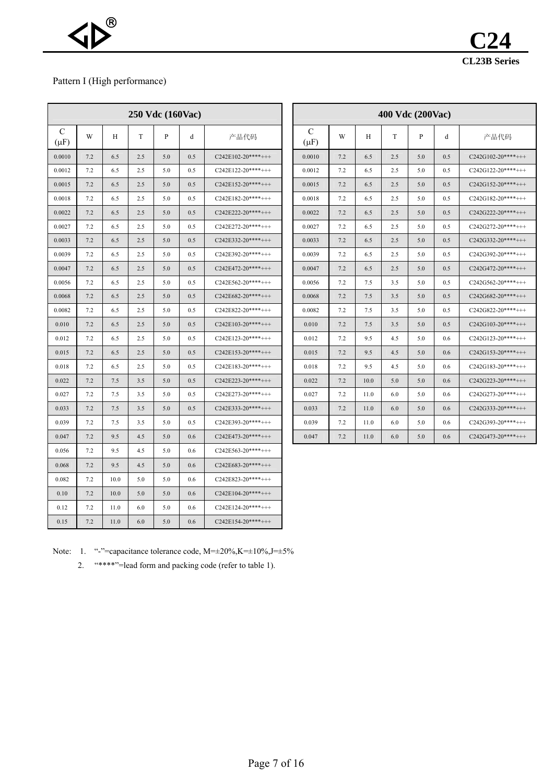# Pattern I (High performance)

| 250 Vdc (160Vac) |     |      |     |              |     |                     |  |  |
|------------------|-----|------|-----|--------------|-----|---------------------|--|--|
| C<br>$(\mu F)$   | W   | H    | T   | $\mathbf{P}$ | d   | 产品代码                |  |  |
| 0.0010           | 7.2 | 6.5  | 2.5 | 5.0          | 0.5 | $C242E102-20***+++$ |  |  |
| 0.0012           | 7.2 | 6.5  | 2.5 | 5.0          | 0.5 | $C242E122-20***++$  |  |  |
| 0.0015           | 7.2 | 6.5  | 2.5 | 5.0          | 0.5 | $C242E152-20***++$  |  |  |
| 0.0018           | 7.2 | 6.5  | 2.5 | 5.0          | 0.5 | $C242E182-20***++$  |  |  |
| 0.0022           | 7.2 | 6.5  | 2.5 | 5.0          | 0.5 | $C242E222-20***++$  |  |  |
| 0.0027           | 7.2 | 6.5  | 2.5 | 5.0          | 0.5 | $C242E272-20***+++$ |  |  |
| 0.0033           | 7.2 | 6.5  | 2.5 | 5.0          | 0.5 | $C242E332-20***++$  |  |  |
| 0.0039           | 7.2 | 6.5  | 2.5 | 5.0          | 0.5 | $C242E392-20***++$  |  |  |
| 0.0047           | 7.2 | 6.5  | 2.5 | 5.0          | 0.5 | $C242E472-20***+++$ |  |  |
| 0.0056           | 7.2 | 6.5  | 2.5 | 5.0          | 0.5 | $C242E562-20***++$  |  |  |
| 0.0068           | 7.2 | 6.5  | 2.5 | 5.0          | 0.5 | C242E682-20****+++  |  |  |
| 0.0082           | 7.2 | 6.5  | 2.5 | 5.0          | 0.5 | $C242E822-20***++$  |  |  |
| 0.010            | 7.2 | 6.5  | 2.5 | 5.0          | 0.5 | $C242E103-20***++$  |  |  |
| 0.012            | 7.2 | 6.5  | 2.5 | 5.0          | 0.5 | $C242E123-20***++$  |  |  |
| 0.015            | 7.2 | 6.5  | 2.5 | 5.0          | 0.5 | $C242E153-20***+++$ |  |  |
| 0.018            | 7.2 | 6.5  | 2.5 | 5.0          | 0.5 | $C242E183-20***++$  |  |  |
| 0.022            | 7.2 | 7.5  | 3.5 | 5.0          | 0.5 | $C242E223-20***+++$ |  |  |
| 0.027            | 7.2 | 7.5  | 3.5 | 5.0          | 0.5 | $C242E273-20***+++$ |  |  |
| 0.033            | 7.2 | 7.5  | 3.5 | 5.0          | 0.5 | $C242E333-20***+++$ |  |  |
| 0.039            | 7.2 | 7.5  | 3.5 | 5.0          | 0.5 | $C242E393-20***++$  |  |  |
| 0.047            | 7.2 | 9.5  | 4.5 | 5.0          | 0.6 | $C242E473-20***+++$ |  |  |
| 0.056            | 7.2 | 9.5  | 4.5 | 5.0          | 0.6 | $C242E563-20***+++$ |  |  |
| 0.068            | 7.2 | 9.5  | 4.5 | 5.0          | 0.6 | $C242E683-20***++$  |  |  |
| 0.082            | 7.2 | 10.0 | 5.0 | 5.0          | 0.6 | $C242E823-20***+++$ |  |  |
| 0.10             | 7.2 | 10.0 | 5.0 | 5.0          | 0.6 | $C242E104-20***+++$ |  |  |
| 0.12             | 7.2 | 11.0 | 6.0 | 5.0          | 0.6 | $C242E124-20***++$  |  |  |
| 0.15             | 7.2 | 11.0 | 6.0 | 5.0          | 0.6 | $C242E154-20***++$  |  |  |

|                |     |     | 250 Vdc (160Vac) |     |               |                     |                |     |      |     | 400 Vdc (200Vac) |     |                     |
|----------------|-----|-----|------------------|-----|---------------|---------------------|----------------|-----|------|-----|------------------|-----|---------------------|
| C<br>$(\mu F)$ | W   | Н   | T                | P   | d             | 产品代码                | C<br>$(\mu F)$ | W   | H    | T   | P                | d   | 产品代码                |
| 0.0010         | 7.2 | 6.5 | 2.5              | 5.0 | 0.5           | $C242E102-20***++$  | 0.0010         | 7.2 | 6.5  | 2.5 | 5.0              | 0.5 | $C242G102-20***++$  |
| 0.0012         | 7.2 | 6.5 | 2.5              | 5.0 | 0.5           | $C242E122-20***++$  | 0.0012         | 7.2 | 6.5  | 2.5 | 5.0              | 0.5 | C242G122-20****+++  |
| 0.0015         | 7.2 | 6.5 | 2.5              | 5.0 | 0.5           | $C242E152-20***++$  | 0.0015         | 7.2 | 6.5  | 2.5 | 5.0              | 0.5 | $C242G152-20***++$  |
| 0.0018         | 7.2 | 6.5 | 2.5              | 5.0 | 0.5           | $C242E182-20***+++$ | 0.0018         | 7.2 | 6.5  | 2.5 | 5.0              | 0.5 | $C242G182-20***++$  |
| 0.0022         | 7.2 | 6.5 | 2.5              | 5.0 | 0.5           | $C242E222-20***++$  | 0.0022         | 7.2 | 6.5  | 2.5 | 5.0              | 0.5 | $C242G222-20***++$  |
| 0.0027         | 7.2 | 6.5 | 2.5              | 5.0 | 0.5           | $C242E272-20***+++$ | 0.0027         | 7.2 | 6.5  | 2.5 | 5.0              | 0.5 | $C242G272-20***++$  |
| 0.0033         | 7.2 | 6.5 | 2.5              | 5.0 | 0.5           | $C242E332-20***+++$ | 0.0033         | 7.2 | 6.5  | 2.5 | 5.0              | 0.5 | $C242G332-20***++$  |
| 0.0039         | 7.2 | 6.5 | 2.5              | 5.0 | 0.5           | $C242E392-20***+++$ | 0.0039         | 7.2 | 6.5  | 2.5 | 5.0              | 0.5 | $C242G392-20***++$  |
| 0.0047         | 7.2 | 6.5 | 2.5              | 5.0 | 0.5           | C242E472-20****+++  | 0.0047         | 7.2 | 6.5  | 2.5 | 5.0              | 0.5 | $C242G472-20***++$  |
| 0.0056         | 7.2 | 6.5 | 2.5              | 5.0 | 0.5           | $C242E562-20***+++$ | 0.0056         | 7.2 | 7.5  | 3.5 | 5.0              | 0.5 | $C242G562-20***++$  |
| 0.0068         | 7.2 | 6.5 | 2.5              | 5.0 | 0.5           | $C242E682-20***++$  | 0.0068         | 7.2 | 7.5  | 3.5 | 5.0              | 0.5 | $C242G682-20***++$  |
| 0.0082         | 7.2 | 6.5 | 2.5              | 5.0 | $0.5^{\circ}$ | $C242E822-20***++$  | 0.0082         | 7.2 | 7.5  | 3.5 | 5.0              | 0.5 | $C242G822-20***++$  |
| 0.010          | 7.2 | 6.5 | 2.5              | 5.0 | 0.5           | $C242E103-20***+++$ | 0.010          | 7.2 | 7.5  | 3.5 | 5.0              | 0.5 | $C242G103-20***+++$ |
| 0.012          | 7.2 | 6.5 | 2.5              | 5.0 | 0.5           | $C242E123-20***++$  | 0.012          | 7.2 | 9.5  | 4.5 | 5.0              | 0.6 | $C242G123-20***++$  |
| 0.015          | 7.2 | 6.5 | 2.5              | 5.0 | 0.5           | $C242E153-20***++$  | 0.015          | 7.2 | 9.5  | 4.5 | 5.0              | 0.6 | $C242G153-20***++$  |
| 0.018          | 7.2 | 6.5 | 2.5              | 5.0 | $0.5^{\circ}$ | $C242E183-20***++$  | 0.018          | 7.2 | 9.5  | 4.5 | 5.0              | 0.6 | $C242G183-20***+++$ |
| 0.022          | 7.2 | 7.5 | 3.5              | 5.0 | 0.5           | $C242E223-20***+++$ | 0.022          | 7.2 | 10.0 | 5.0 | 5.0              | 0.6 | $C242G223-20***++$  |
| 0.027          | 7.2 | 7.5 | 3.5              | 5.0 | 0.5           | $C242E273-20***+++$ | 0.027          | 7.2 | 11.0 | 6.0 | 5.0              | 0.6 | $C242G273-20***++$  |
| 0.033          | 7.2 | 7.5 | 3.5              | 5.0 | 0.5           | $C242E333-20***++$  | 0.033          | 7.2 | 11.0 | 6.0 | 5.0              | 0.6 | $C242G333-20***+++$ |
| 0.039          | 7.2 | 7.5 | 3.5              | 5.0 | $0.5^{\circ}$ | $C242E393-20***+++$ | 0.039          | 7.2 | 11.0 | 6.0 | 5.0              | 0.6 | $C242G393-20***++$  |
| 0.047          | 7.2 | 9.5 | 4.5              | 5.0 | 0.6           | C242E473-20****+++  | 0.047          | 7.2 | 11.0 | 6.0 | 5.0              | 0.6 | $C242G473-20***++$  |

Note: 1. "-"=capacitance tolerance code, M= $\pm 20\%, K=\pm 10\%, J=\pm 5\%$ 

2. "\*\*\*\*"=lead form and packing code (refer to table 1).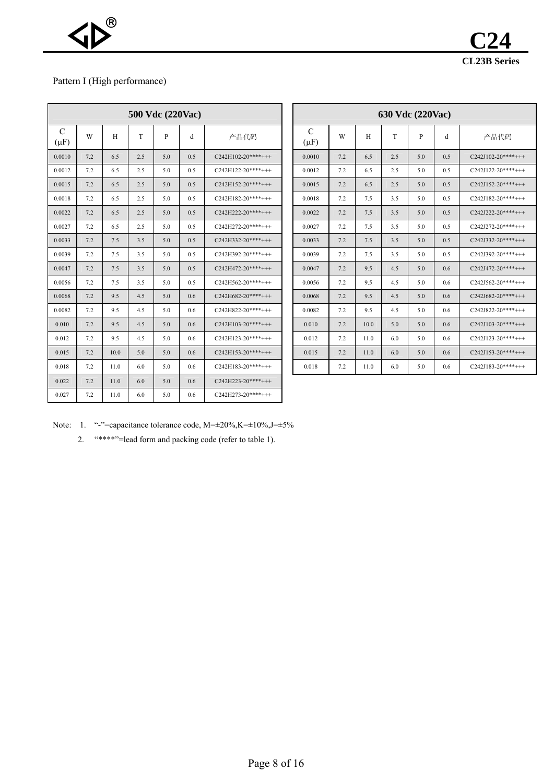

# Pattern I (High performance)

|                | 500 Vdc (220Vac) |      |     |     |     |                     |  |  |  |  |
|----------------|------------------|------|-----|-----|-----|---------------------|--|--|--|--|
| C<br>$(\mu F)$ | W                | H    | T   | P   | d   | 产品代码                |  |  |  |  |
| 0.0010         | 7.2              | 6.5  | 2.5 | 5.0 | 0.5 | $C242H102-20***++$  |  |  |  |  |
| 0.0012         | 7.2              | 6.5  | 2.5 | 5.0 | 0.5 | $C242H122-20***+++$ |  |  |  |  |
| 0.0015         | 7.2              | 6.5  | 2.5 | 5.0 | 0.5 | $C242H152-20***++$  |  |  |  |  |
| 0.0018         | 7.2              | 6.5  | 2.5 | 5.0 | 0.5 | $C242H182-20***++$  |  |  |  |  |
| 0.0022         | 7.2              | 6.5  | 2.5 | 5.0 | 0.5 | $C242H222-20***++$  |  |  |  |  |
| 0.0027         | 7.2              | 6.5  | 2.5 | 5.0 | 0.5 | $C242H272-20***++$  |  |  |  |  |
| 0.0033         | 7.2              | 7.5  | 3.5 | 5.0 | 0.5 | $C242H332-20***++$  |  |  |  |  |
| 0.0039         | 7.2              | 7.5  | 3.5 | 5.0 | 0.5 | $C242H392-20***+++$ |  |  |  |  |
| 0.0047         | 7.2              | 7.5  | 3.5 | 5.0 | 0.5 | $C242H472-20***++$  |  |  |  |  |
| 0.0056         | 7.2              | 7.5  | 3.5 | 5.0 | 0.5 | $C242H562-20***+++$ |  |  |  |  |
| 0.0068         | 7.2              | 9.5  | 4.5 | 5.0 | 0.6 | $C242H682-20***++$  |  |  |  |  |
| 0.0082         | 7.2              | 9.5  | 4.5 | 5.0 | 0.6 | $C242H822-20***++$  |  |  |  |  |
| 0.010          | 7.2              | 9.5  | 4.5 | 5.0 | 0.6 | $C242H103-20***+++$ |  |  |  |  |
| 0.012          | 7.2              | 9.5  | 4.5 | 5.0 | 0.6 | $C242H123-20***++$  |  |  |  |  |
| 0.015          | 7.2              | 10.0 | 5.0 | 5.0 | 0.6 | $C242H153-20***+++$ |  |  |  |  |
| 0.018          | 7.2              | 11.0 | 6.0 | 5.0 | 0.6 | $C242H183-20***++$  |  |  |  |  |
| 0.022          | 7.2              | 11.0 | 6.0 | 5.0 | 0.6 | $C242H223-20***++$  |  |  |  |  |
| 0.027          | 7.2              | 11.0 | 6.0 | 5.0 | 0.6 | $C242H273-20***+++$ |  |  |  |  |

|                |     |      | 500 Vdc (220Vac) |     |     |                     |                |
|----------------|-----|------|------------------|-----|-----|---------------------|----------------|
| C<br>$(\mu F)$ | W   | H    | T                | P   | d   | 产品代码                | C<br>$(\mu F)$ |
| 0.0010         | 7.2 | 6.5  | 2.5              | 5.0 | 0.5 | $C242H102-20***++$  | 0.0010         |
| 0.0012         | 7.2 | 6.5  | 2.5              | 5.0 | 0.5 | C242H122-20****+++  | 0.0012         |
| 0.0015         | 7.2 | 6.5  | 2.5              | 5.0 | 0.5 | $C242H152-20***++$  | 0.0015         |
| 0.0018         | 7.2 | 6.5  | 2.5              | 5.0 | 0.5 | $C242H182-20***++$  | 0.0018         |
| 0.0022         | 7.2 | 6.5  | 2.5              | 5.0 | 0.5 | $C242H222-20***+++$ | 0.0022         |
| 0.0027         | 7.2 | 6.5  | 2.5              | 5.0 | 0.5 | $C242H272-20***+++$ | 0.0027         |
| 0.0033         | 7.2 | 7.5  | 3.5              | 5.0 | 0.5 | C242H332-20****+++  | 0.0033         |
| 0.0039         | 7.2 | 7.5  | 3.5              | 5.0 | 0.5 | $C242H392-20***++$  | 0.0039         |
| 0.0047         | 7.2 | 7.5  | 3.5              | 5.0 | 0.5 | C242H472-20****+++  | 0.0047         |
| 0.0056         | 7.2 | 7.5  | 3.5              | 5.0 | 0.5 | $C242H562-20***++$  | 0.0056         |
| 0.0068         | 7.2 | 9.5  | 4.5              | 5.0 | 0.6 | $C242H682-20***++$  | 0.0068         |
| 0.0082         | 7.2 | 9.5  | 4.5              | 5.0 | 0.6 | $C242H822-20***++$  | 0.0082         |
| 0.010          | 7.2 | 9.5  | 4.5              | 5.0 | 0.6 | $C242H103-20***+++$ | 0.010          |
| 0.012          | 7.2 | 9.5  | 4.5              | 5.0 | 0.6 | $C242H123-20***++$  | 0.012          |
| 0.015          | 7.2 | 10.0 | 5.0              | 5.0 | 0.6 | $C242H153-20***+++$ | 0.015          |
| 0.018          | 7.2 | 11.0 | 6.0              | 5.0 | 0.6 | $C242H183-20***+++$ | 0.018          |

Note: 1. "-"=capacitance tolerance code,  $M=±20\%, K=±10\%, J=±5\%$ 

2. "\*\*\*\*"=lead form and packing code (refer to table 1).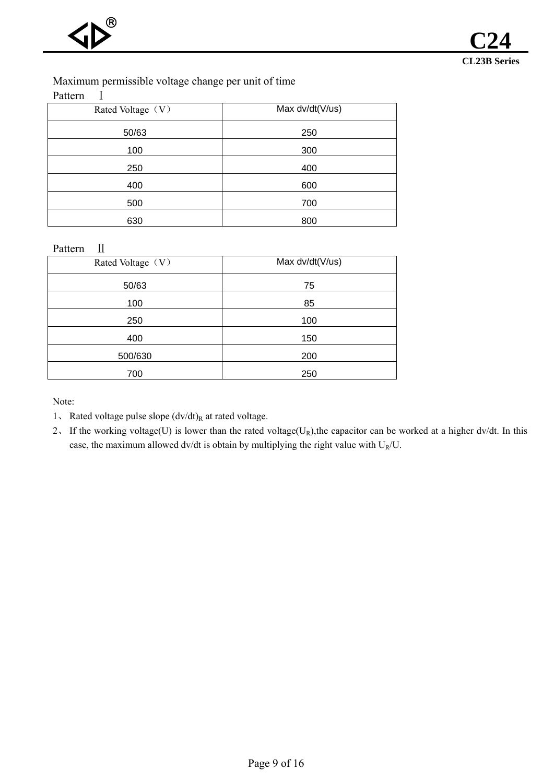# Maximum permissible voltage change per unit of time

Pattern I

| Rated Voltage (V) | Max dv/dt(V/us) |
|-------------------|-----------------|
| 50/63             | 250             |
| 100               | 300             |
| 250               | 400             |
| 400               | 600             |
| 500               | 700             |
| 630               | 800             |

Pattern II

| Rated Voltage (V) | Max dv/dt(V/us) |
|-------------------|-----------------|
| 50/63             | 75              |
| 100               | 85              |
| 250               | 100             |
| 400               | 150             |
| 500/630           | 200             |
| 700               | 250             |

Note:

- 1、 Rated voltage pulse slope  $(dv/dt)_R$  at rated voltage.
- 2. If the working voltage(U) is lower than the rated voltage(U<sub>R</sub>), the capacitor can be worked at a higher dv/dt. In this case, the maximum allowed dv/dt is obtain by multiplying the right value with  $U_R/U$ .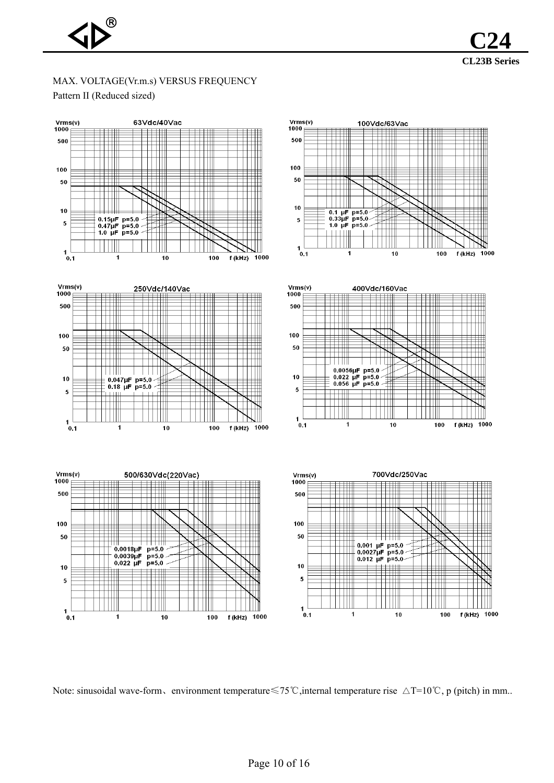

# MAX. VOLTAGE(Vr.m.s) VERSUS FREQUENCY Pattern II (Reduced sized)



Note: sinusoidal wave-form、environment temperature ≤75°C, internal temperature rise △T=10°C, p (pitch) in mm...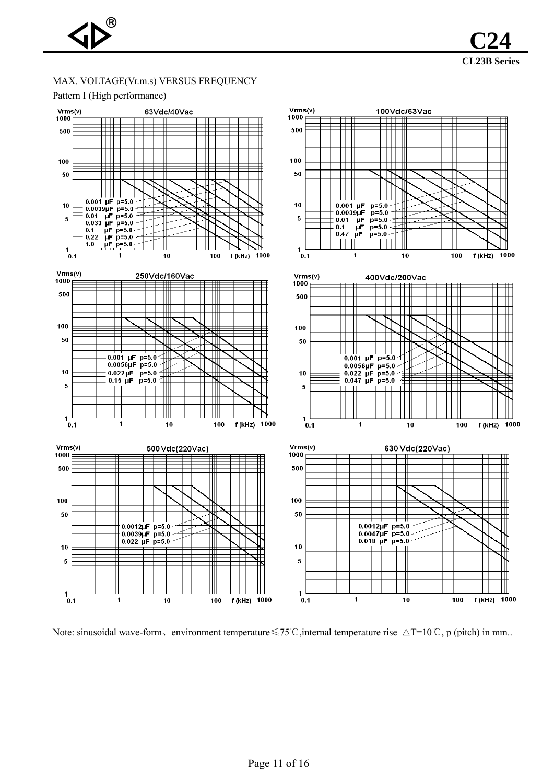## MAX. VOLTAGE(Vr.m.s) VERSUS FREQUENCY



**CL23B Series** 

**C24**

Note: sinusoidal wave-form、environment temperature ≤75°C, internal temperature rise △T=10°C, p (pitch) in mm...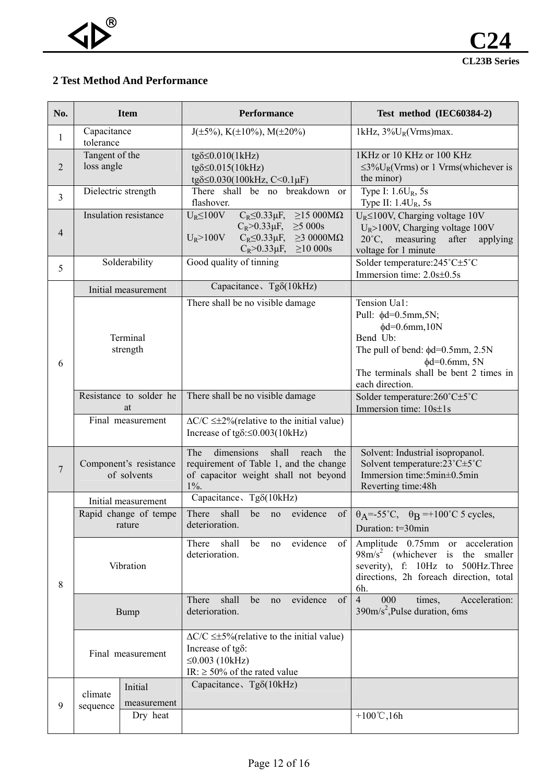# **2 Test Method And Performance**

| No.            |                                       | <b>Item</b>                     | Performance                                                                                                                                                                                                  | Test method (IEC60384-2)                                                                                                                                                                                    |
|----------------|---------------------------------------|---------------------------------|--------------------------------------------------------------------------------------------------------------------------------------------------------------------------------------------------------------|-------------------------------------------------------------------------------------------------------------------------------------------------------------------------------------------------------------|
| $\mathbf{1}$   | Capacitance<br>tolerance              |                                 | $J(\pm 5\%)$ , K( $\pm 10\%$ ), M( $\pm 20\%$ )                                                                                                                                                              | 1kHz, $3\%U_R(Vrms)$ max.                                                                                                                                                                                   |
| 2              | Tangent of the<br>loss angle          |                                 | $tg\delta \leq 0.010(1kHz)$<br>$tg\delta \leq 0.015(10kHz)$<br>tgδ≤0.030(100kHz, C<0.1µF)                                                                                                                    | 1KHz or 10 KHz or 100 KHz<br>$\leq$ 3%U <sub>R</sub> (Vrms) or 1 Vrms(whichever is<br>the minor)                                                                                                            |
| $\overline{3}$ |                                       | Dielectric strength             | There shall be no breakdown<br><sub>or</sub><br>flashover.                                                                                                                                                   | Type I: $1.6U_R$ , 5s<br>Type II: $1.4U_R$ , 5s                                                                                                                                                             |
| $\overline{4}$ | Insulation resistance                 |                                 | $\geq$ 15 000ΜΩ<br>$U_R \le 100V$<br>$C_R \leq 0.33 \mu F$ ,<br>$C_R > 0.33 \mu F$ ,<br>$\geq 5000s$<br>$U_R > 100V$<br>$C_R \leq 0.33 \mu F$ , $\geq 3.0000 M\Omega$<br>$C_R > 0.33 \mu F$ , $\geq 10000$ s | $U_R \le 100V$ , Charging voltage 10V<br>$U_R$ >100V, Charging voltage 100V<br>$20^{\circ}$ C,<br>measuring<br>after<br>applying<br>voltage for 1 minute                                                    |
| 5              |                                       | Solderability                   | Good quality of tinning                                                                                                                                                                                      | Solder temperature: 245°C±5°C<br>Immersion time: 2.0s±0.5s                                                                                                                                                  |
|                |                                       | Initial measurement             | Capacitance, Tg8(10kHz)                                                                                                                                                                                      |                                                                                                                                                                                                             |
| 6              | Terminal<br>strength                  |                                 | There shall be no visible damage                                                                                                                                                                             | Tension Ua1:<br>Pull: $\phi$ d=0.5mm,5N;<br>$\phi d = 0.6$ mm, 10N<br>Bend Ub:<br>The pull of bend: $\phi$ d=0.5mm, 2.5N<br>$\phi$ d=0.6mm, 5N<br>The terminals shall be bent 2 times in<br>each direction. |
|                |                                       | Resistance to solder he<br>at   | There shall be no visible damage                                                                                                                                                                             | Solder temperature:260°C±5°C<br>Immersion time: 10s±1s                                                                                                                                                      |
|                | Final measurement                     |                                 | $\Delta$ C/C $\leq \pm 2\%$ (relative to the initial value)<br>Increase of tg $\delta$ : $\leq$ 0.003(10kHz)                                                                                                 |                                                                                                                                                                                                             |
| $\overline{7}$ | Component's resistance<br>of solvents |                                 | shall<br>The<br>dimensions<br>reach<br>the<br>requirement of Table 1, and the change<br>of capacitor weight shall not beyond<br>$1\%$ .                                                                      | Solvent: Industrial isopropanol.<br>Solvent temperature: 23°C±5°C<br>Immersion time: 5min±0.5min<br>Reverting time: 48h                                                                                     |
|                |                                       | Initial measurement             | Capacitance, Tg8(10kHz)                                                                                                                                                                                      |                                                                                                                                                                                                             |
|                |                                       | Rapid change of tempe<br>rature | shall<br>evidence<br>There<br>be no<br>deterioration.                                                                                                                                                        | of $\theta_A = -55^{\circ}C$ , $\theta_B = +100^{\circ}C$ 5 cycles,<br>Duration: t=30min                                                                                                                    |
| 8              |                                       | Vibration                       | shall<br>evidence<br>of<br>There<br>be<br>no<br>deterioration.                                                                                                                                               | Amplitude 0.75mm or acceleration<br>$98m/s2$ (whichever is the smaller<br>severity), f: 10Hz to 500Hz. Three<br>directions, 2h foreach direction, total<br>6h.                                              |
|                |                                       | <b>Bump</b>                     | of<br>There<br>shall<br>evidence<br>be<br>no<br>deterioration.                                                                                                                                               | 000<br>$\overline{4}$<br>times,<br>Acceleration:<br>$390 \text{m/s}^2$ , Pulse duration, 6ms                                                                                                                |
|                | Final measurement                     |                                 | $\Delta$ C/C $\leq \pm 5\%$ (relative to the initial value)<br>Increase of tgδ:<br>≤0.003 (10kHz)<br>IR: $\geq$ 50% of the rated value                                                                       |                                                                                                                                                                                                             |
|                | climate                               | Initial                         | Capacitance, Tg8(10kHz)                                                                                                                                                                                      |                                                                                                                                                                                                             |
| 9              | sequence                              | measurement                     |                                                                                                                                                                                                              |                                                                                                                                                                                                             |
|                |                                       | Dry heat                        |                                                                                                                                                                                                              | +100 $°C,16h$                                                                                                                                                                                               |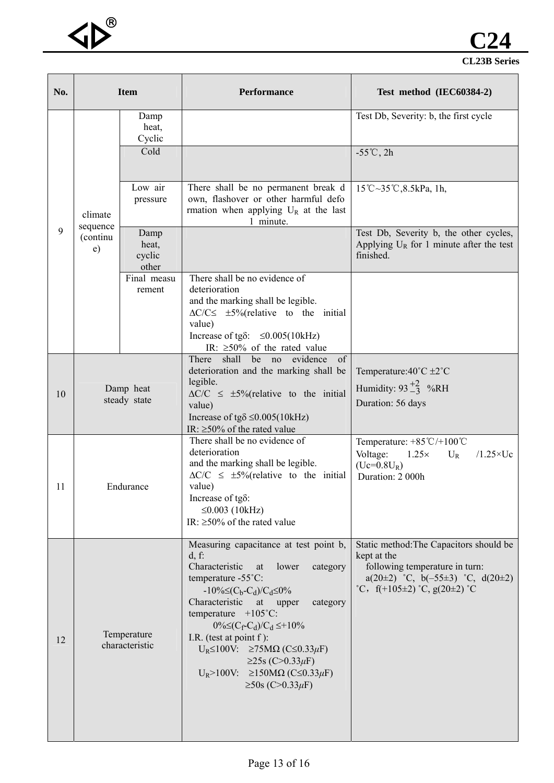

| No. |                                                                                         | <b>Item</b>                                                                    | Performance                                                                                                                                                                                                                                                                                                                                                                                                                                         | Test method (IEC60384-2)                                                                                                                                                 |                                                                                                                    |                                                                                |
|-----|-----------------------------------------------------------------------------------------|--------------------------------------------------------------------------------|-----------------------------------------------------------------------------------------------------------------------------------------------------------------------------------------------------------------------------------------------------------------------------------------------------------------------------------------------------------------------------------------------------------------------------------------------------|--------------------------------------------------------------------------------------------------------------------------------------------------------------------------|--------------------------------------------------------------------------------------------------------------------|--------------------------------------------------------------------------------|
|     | Damp<br>heat,<br>Cyclic                                                                 |                                                                                |                                                                                                                                                                                                                                                                                                                                                                                                                                                     |                                                                                                                                                                          |                                                                                                                    | Test Db, Severity: b, the first cycle                                          |
|     | Cold                                                                                    |                                                                                |                                                                                                                                                                                                                                                                                                                                                                                                                                                     | $-55^{\circ}$ C, 2h                                                                                                                                                      |                                                                                                                    |                                                                                |
|     | climate                                                                                 | Low air<br>pressure                                                            | There shall be no permanent break d<br>own, flashover or other harmful defo<br>rmation when applying $U_R$ at the last<br>1 minute.                                                                                                                                                                                                                                                                                                                 | 15°C~35°C,8.5kPa, 1h,                                                                                                                                                    |                                                                                                                    |                                                                                |
| 9   | sequence<br>Damp<br>(continu<br>heat,<br>e)<br>cyclic<br>other<br>Final measu<br>rement |                                                                                |                                                                                                                                                                                                                                                                                                                                                                                                                                                     | Test Db, Severity b, the other cycles,<br>Applying $U_R$ for 1 minute after the test<br>finished.                                                                        |                                                                                                                    |                                                                                |
|     |                                                                                         |                                                                                | There shall be no evidence of<br>deterioration<br>and the marking shall be legible.<br>$\Delta C/C \leq \pm 5\%$ (relative to the initial<br>value)                                                                                                                                                                                                                                                                                                 |                                                                                                                                                                          |                                                                                                                    |                                                                                |
|     |                                                                                         |                                                                                | Increase of tg $\delta$ : $\leq 0.005(10kHz)$<br>IR: $\geq 50\%$ of the rated value<br>shall<br>There<br>be no evidence<br>of                                                                                                                                                                                                                                                                                                                       |                                                                                                                                                                          |                                                                                                                    |                                                                                |
| 10  | Damp heat<br>steady state                                                               |                                                                                |                                                                                                                                                                                                                                                                                                                                                                                                                                                     |                                                                                                                                                                          | deterioration and the marking shall be<br>legible.<br>$\Delta C/C \leq \pm 5\%$ (relative to the initial<br>value) | Temperature: 40°C ±2°C<br>Humidity: $93\frac{+2}{-3}$ %RH<br>Duration: 56 days |
|     |                                                                                         | Increase of tg $\delta \leq 0.005(10kHz)$<br>IR: $\geq$ 50% of the rated value |                                                                                                                                                                                                                                                                                                                                                                                                                                                     |                                                                                                                                                                          |                                                                                                                    |                                                                                |
| 11  | Endurance                                                                               |                                                                                | There shall be no evidence of<br>deterioration<br>and the marking shall be legible.<br>$\Delta C/C \leq \pm 5\%$ (relative to the initial<br>value)<br>Increase of tg $\delta$ :<br>≤0.003 (10kHz)<br>IR: $\geq$ 50% of the rated value                                                                                                                                                                                                             | Temperature: $+85^{\circ}C/+100^{\circ}C$<br>$1.25\times$<br>Voltage:<br>$/1.25 \times Uc$<br>$U_R$<br>$(Uc=0.8U_R)$<br>Duration: 2 000h                                 |                                                                                                                    |                                                                                |
| 12  | Temperature<br>characteristic                                                           |                                                                                | Measuring capacitance at test point b,<br>$d, f$ :<br>Characteristic<br>lower<br>category<br>at<br>temperature -55°C:<br>$-10\% \leq (C_b-C_d)/C_d \leq 0\%$<br>Characteristic<br>at<br>category<br>upper<br>temperature $+105^{\circ}$ C:<br>$0\% \le (C_f - C_d)/C_d \le +10\%$<br>I.R. (test at point $f$ ):<br>$U_R \le 100V$ : $\ge 75M\Omega$ (C $\le 0.33\mu$ F)<br>$≥25s$ (C>0.33μF)<br>$U_R>100V$ : ≥150MΩ (C≤0.33μF)<br>$≥50s$ (C>0.33μF) | Static method: The Capacitors should be<br>kept at the<br>following temperature in turn:<br>$a(20\pm2)$ °C, $b(-55\pm3)$ °C, $d(20\pm2)$<br>°C, f(+105±2) °C, g(20±2) °C |                                                                                                                    |                                                                                |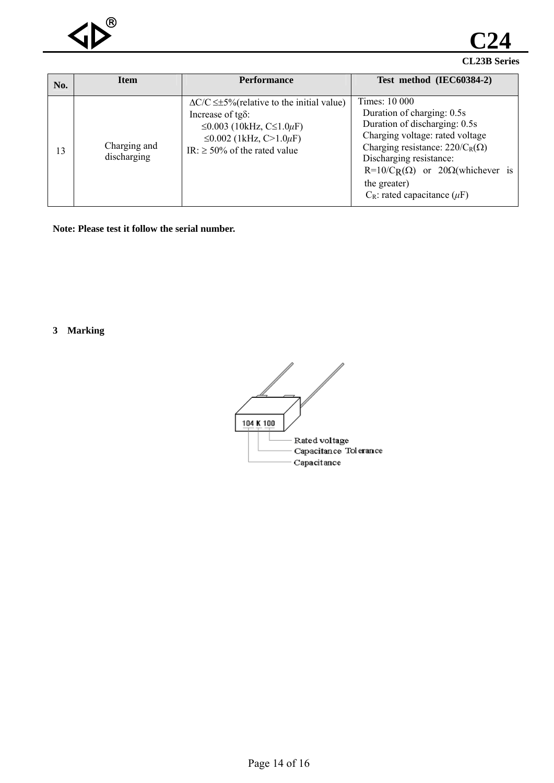

**CL23B Series C24**

| No. | <b>Item</b>                 | <b>Performance</b>                                                                                                                                                                   | Test method (IEC60384-2)                                                                                                                                                                                                                                                                                      |
|-----|-----------------------------|--------------------------------------------------------------------------------------------------------------------------------------------------------------------------------------|---------------------------------------------------------------------------------------------------------------------------------------------------------------------------------------------------------------------------------------------------------------------------------------------------------------|
| 13  | Charging and<br>discharging | $\Delta$ C/C $\leq$ ±5% (relative to the initial value)<br>Increase of tg $\delta$ :<br>≤0.003 (10kHz, C≤1.0µF)<br>≤0.002 (1kHz, C>1.0 $\mu$ F)<br>IR: $\geq$ 50% of the rated value | Times: 10 000<br>Duration of charging: 0.5s<br>Duration of discharging: 0.5s<br>Charging voltage: rated voltage<br>Charging resistance: $220/C_R(\Omega)$<br>Discharging resistance:<br>R=10/C <sub>R</sub> ( $\Omega$ ) or 20 $\Omega$ (whichever is<br>the greater)<br>$C_R$ : rated capacitance ( $\mu$ F) |

**Note: Please test it follow the serial number.** 

**3 Marking** 

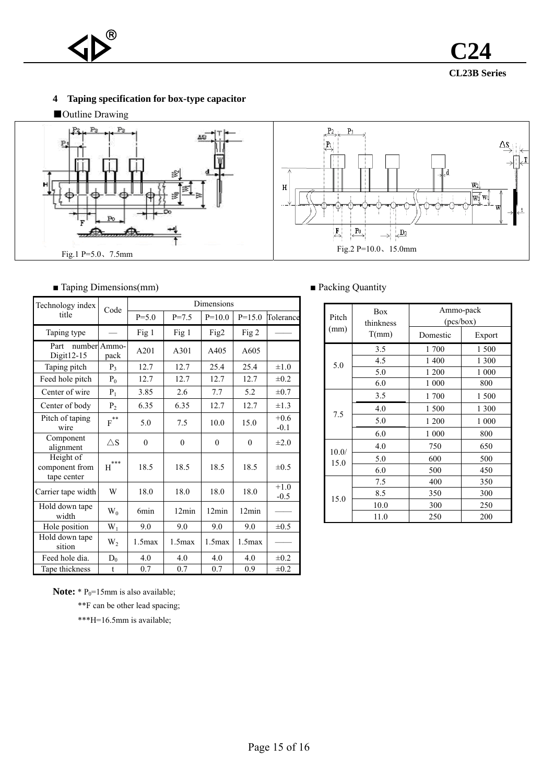

**CL23B Series C24**

## **4 Taping specification for box-type capacitor**

■Outline Drawing



## ■ Taping Dimensions(mm) ■ Packing Quantity

| Technology index                           | Code                  | Dimensions   |           |           |          |                  |  |  |  |
|--------------------------------------------|-----------------------|--------------|-----------|-----------|----------|------------------|--|--|--|
| title                                      |                       | $P = 5.0$    | $P = 7.5$ | $P=10.0$  | $P=15.0$ | Tolerance        |  |  |  |
| Taping type                                |                       | Fig 1        | Fig 1     | Fig2      | Fig 2    |                  |  |  |  |
| Part<br>Digit $12-15$                      | number Ammo-<br>pack  | A201         | A301      | A405      | A605     |                  |  |  |  |
| Taping pitch                               | P <sub>3</sub>        | 12.7         | 12.7      | 25.4      | 25.4     | $\pm 1.0$        |  |  |  |
| Feed hole pitch                            | $P_0$                 | 12.7         | 12.7      | 12.7      | 12.7     | $\pm 0.2$        |  |  |  |
| Center of wire                             | $P_1$                 | 3.85         | 2.6       | 7.7       | 5.2      | $\pm 0.7$        |  |  |  |
| Center of body                             | P <sub>2</sub>        | 6.35         | 6.35      | 12.7      | 12.7     | $\pm 1.3$        |  |  |  |
| Pitch of taping<br>wire                    | $\bar{\text{F}}^{**}$ | 5.0          | 7.5       | 10.0      | 15.0     | $+0.6$<br>$-0.1$ |  |  |  |
| Component<br>alignment                     | $\triangle$ S         | $\mathbf{0}$ | $\theta$  | $\theta$  | $\Omega$ | $\pm 2.0$        |  |  |  |
| Height of<br>component from<br>tape center | ***<br>H              | 18.5         | 18.5      | 18.5      | 18.5     | $\pm 0.5$        |  |  |  |
| Carrier tape width                         | W                     | 18.0         | 18.0      | 18.0      | 18.0     | $+1.0$<br>$-0.5$ |  |  |  |
| Hold down tape<br>width                    | $W_0$                 | 6min         | 12min     | 12min     | 12min    |                  |  |  |  |
| Hole position                              | $W_1$                 | 9.0          | 9.0       | 9.0       | 9.0      | $\pm 0.5$        |  |  |  |
| Hold down tape<br>sition                   | $W_2$                 | $1.5$ max    | $1.5$ max | $1.5$ max | 1.5max   |                  |  |  |  |
| Feed hole dia.                             | $D_0$                 | 4.0          | 4.0       | 4.0       | 4.0      | $\pm 0.2$        |  |  |  |
| Tape thickness                             | $\mathbf{t}$          | 0.7          | 0.7       | 0.7       | 0.9      | $\pm 0.2$        |  |  |  |

| Pitch | <b>Box</b><br>thinkness | Ammo-pack<br>(pcs/box) |        |  |  |
|-------|-------------------------|------------------------|--------|--|--|
| (mm)  | T(mm)                   | Domestic               | Export |  |  |
|       | 3.5                     | 1700                   | 1 500  |  |  |
| 5.0   | 4.5                     | 1 400                  | 1 300  |  |  |
|       | 5.0                     | 1 200                  | 1 000  |  |  |
|       | 6.0                     | 1 000                  | 800    |  |  |
|       | 3.5                     | 1700                   | 1 500  |  |  |
| 7.5   | 4.0                     | 1 500                  | 1 300  |  |  |
|       | 5.0                     | 1 200                  | 1 000  |  |  |
|       | 6.0                     | 1 000                  | 800    |  |  |
| 10.0/ | 4.0                     | 750                    | 650    |  |  |
| 15.0  | 5.0                     | 600                    | 500    |  |  |
|       | 6.0                     | 500                    | 450    |  |  |
|       | 7.5                     | 400                    | 350    |  |  |
| 15.0  | 8.5                     | 350                    | 300    |  |  |
|       | 10.0                    | 300                    | 250    |  |  |
|       | 11.0                    | 250                    | 200    |  |  |

**Note:** \*  $P_0$ =15mm is also available;

\*\*F can be other lead spacing;

\*\*\*H=16.5mm is available;